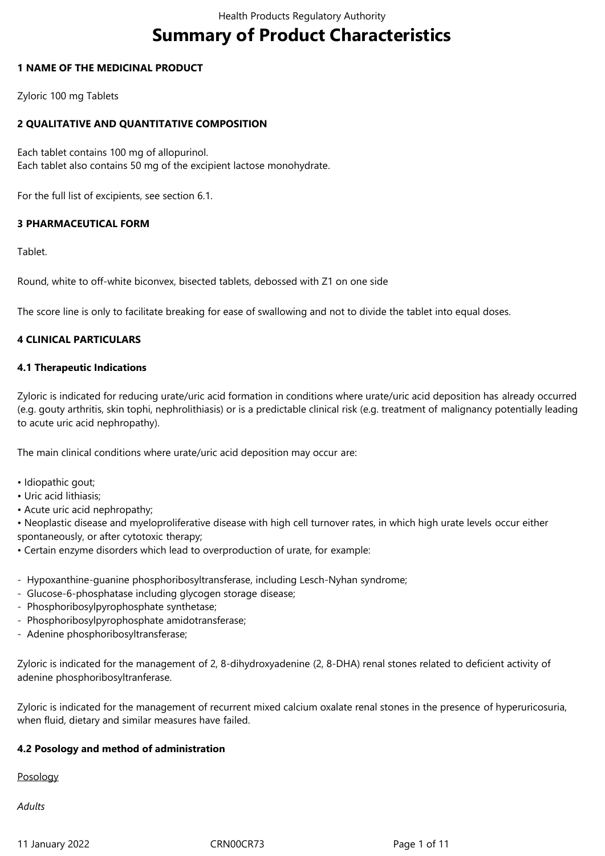# **Summary of Product Characteristics**

## **1 NAME OF THE MEDICINAL PRODUCT**

Zyloric 100 mg Tablets

# **2 QUALITATIVE AND QUANTITATIVE COMPOSITION**

Each tablet contains 100 mg of allopurinol. Each tablet also contains 50 mg of the excipient lactose monohydrate.

For the full list of excipients, see section 6.1.

# **3 PHARMACEUTICAL FORM**

Tablet.

Round, white to off-white biconvex, bisected tablets, debossed with Z1 on one side

The score line is only to facilitate breaking for ease of swallowing and not to divide the tablet into equal doses.

# **4 CLINICAL PARTICULARS**

## **4.1 Therapeutic Indications**

Zyloric is indicated for reducing urate/uric acid formation in conditions where urate/uric acid deposition has already occurred (e.g. gouty arthritis, skin tophi, nephrolithiasis) or is a predictable clinical risk (e.g. treatment of malignancy potentially leading to acute uric acid nephropathy).

The main clinical conditions where urate/uric acid deposition may occur are:

- Idiopathic gout;
- Uric acid lithiasis;
- Acute uric acid nephropathy;

• Neoplastic disease and myeloproliferative disease with high cell turnover rates, in which high urate levels occur either spontaneously, or after cytotoxic therapy;

• Certain enzyme disorders which lead to overproduction of urate, for example:

- Hypoxanthine-guanine phosphoribosyltransferase, including Lesch-Nyhan syndrome;
- Glucose-6-phosphatase including glycogen storage disease;
- Phosphoribosylpyrophosphate synthetase;
- Phosphoribosylpyrophosphate amidotransferase;
- Adenine phosphoribosyltransferase;

Zyloric is indicated for the management of 2, 8-dihydroxyadenine (2, 8-DHA) renal stones related to deficient activity of adenine phosphoribosyltranferase.

Zyloric is indicated for the management of recurrent mixed calcium oxalate renal stones in the presence of hyperuricosuria, when fluid, dietary and similar measures have failed.

## **4.2 Posology and method of administration**

Posology

*Adults*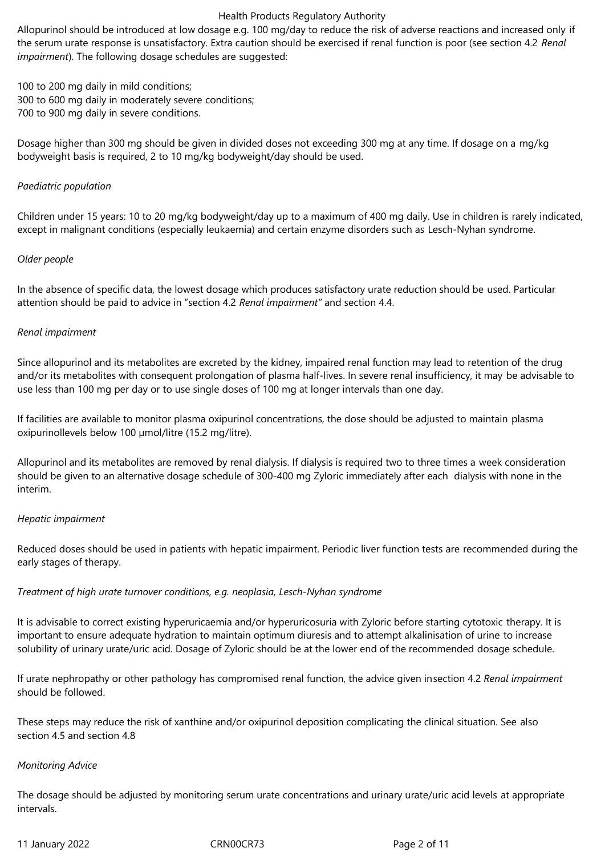Allopurinol should be introduced at low dosage e.g. 100 mg/day to reduce the risk of adverse reactions and increased only if the serum urate response is unsatisfactory. Extra caution should be exercised if renal function is poor (see section 4.2 *Renal impairment*). The following dosage schedules are suggested:

100 to 200 mg daily in mild conditions; 300 to 600 mg daily in moderately severe conditions; 700 to 900 mg daily in severe conditions.

Dosage higher than 300 mg should be given in divided doses not exceeding 300 mg at any time. If dosage on a mg/kg bodyweight basis is required, 2 to 10 mg/kg bodyweight/day should be used.

#### *Paediatric population*

Children under 15 years: 10 to 20 mg/kg bodyweight/day up to a maximum of 400 mg daily. Use in children is rarely indicated, except in malignant conditions (especially leukaemia) and certain enzyme disorders such as Lesch-Nyhan syndrome.

#### *Older people*

In the absence of specific data, the lowest dosage which produces satisfactory urate reduction should be used. Particular attention should be paid to advice in "section 4.2 *Renal impairment"* and section 4.4.

#### *Renal impairment*

Since allopurinol and its metabolites are excreted by the kidney, impaired renal function may lead to retention of the drug and/or its metabolites with consequent prolongation of plasma half-lives. In severe renal insufficiency, it may be advisable to use less than 100 mg per day or to use single doses of 100 mg at longer intervals than one day.

If facilities are available to monitor plasma oxipurinol concentrations, the dose should be adjusted to maintain plasma oxipurinollevels below 100 µmol/litre (15.2 mg/litre).

Allopurinol and its metabolites are removed by renal dialysis. If dialysis is required two to three times a week consideration should be given to an alternative dosage schedule of 300‑400 mg Zyloric immediately after each dialysis with none in the interim.

## *Hepatic impairment*

Reduced doses should be used in patients with hepatic impairment. Periodic liver function tests are recommended during the early stages of therapy.

## *Treatment of high urate turnover conditions, e.g. neoplasia, Lesch-Nyhan syndrome*

It is advisable to correct existing hyperuricaemia and/or hyperuricosuria with Zyloric before starting cytotoxic therapy. It is important to ensure adequate hydration to maintain optimum diuresis and to attempt alkalinisation of urine to increase solubility of urinary urate/uric acid. Dosage of Zyloric should be at the lower end of the recommended dosage schedule.

If urate nephropathy or other pathology has compromised renal function, the advice given insection 4.2 *Renal impairment* should be followed.

These steps may reduce the risk of xanthine and/or oxipurinol deposition complicating the clinical situation. See also section 4.5 and section 4.8

#### *Monitoring Advice*

The dosage should be adjusted by monitoring serum urate concentrations and urinary urate/uric acid levels at appropriate intervals.

11 January 2022 CRN00CR73 Page 2 of 11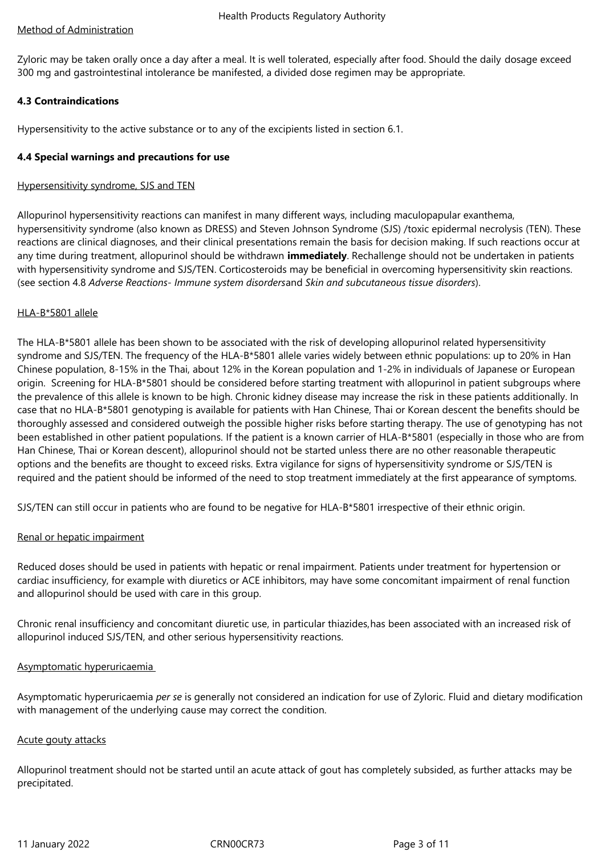# Method of Administration

Zyloric may be taken orally once a day after a meal. It is well tolerated, especially after food. Should the daily dosage exceed 300 mg and gastrointestinal intolerance be manifested, a divided dose regimen may be appropriate.

# **4.3 Contraindications**

Hypersensitivity to the active substance or to any of the excipients listed in section 6.1.

## **4.4 Special warnings and precautions for use**

## Hypersensitivity syndrome, SJS and TEN

Allopurinol hypersensitivity reactions can manifest in many different ways, including maculopapular exanthema, hypersensitivity syndrome (also known as DRESS) and Steven Johnson Syndrome (SJS) /toxic epidermal necrolysis (TEN). These reactions are clinical diagnoses, and their clinical presentations remain the basis for decision making. If such reactions occur at any time during treatment, allopurinol should be withdrawn **immediately**. Rechallenge should not be undertaken in patients with hypersensitivity syndrome and SJS/TEN. Corticosteroids may be beneficial in overcoming hypersensitivity skin reactions. (see section 4.8 *Adverse Reactions- Immune system disorders*and *Skin and subcutaneous tissue disorders*).

## HLA-B\*5801 allele

The HLA-B\*5801 allele has been shown to be associated with the risk of developing allopurinol related hypersensitivity syndrome and SJS/TEN. The frequency of the HLA-B\*5801 allele varies widely between ethnic populations: up to 20% in Han Chinese population, 8-15% in the Thai, about 12% in the Korean population and 1-2% in individuals of Japanese or European origin. Screening for HLA-B\*5801 should be considered before starting treatment with allopurinol in patient subgroups where the prevalence of this allele is known to be high. Chronic kidney disease may increase the risk in these patients additionally. In case that no HLA-B\*5801 genotyping is available for patients with Han Chinese, Thai or Korean descent the benefits should be thoroughly assessed and considered outweigh the possible higher risks before starting therapy. The use of genotyping has not been established in other patient populations. If the patient is a known carrier of HLA-B\*5801 (especially in those who are from Han Chinese, Thai or Korean descent), allopurinol should not be started unless there are no other reasonable therapeutic options and the benefits are thought to exceed risks. Extra vigilance for signs of hypersensitivity syndrome or SJS/TEN is required and the patient should be informed of the need to stop treatment immediately at the first appearance of symptoms.

SJS/TEN can still occur in patients who are found to be negative for HLA-B\*5801 irrespective of their ethnic origin.

## Renal or hepatic impairment

Reduced doses should be used in patients with hepatic or renal impairment. Patients under treatment for hypertension or cardiac insufficiency, for example with diuretics or ACE inhibitors, may have some concomitant impairment of renal function and allopurinol should be used with care in this group.

Chronic renal insufficiency and concomitant diuretic use, in particular thiazides,has been associated with an increased risk of allopurinol induced SJS/TEN, and other serious hypersensitivity reactions.

## Asymptomatic hyperuricaemia

Asymptomatic hyperuricaemia *per se* is generally not considered an indication for use of Zyloric. Fluid and dietary modification with management of the underlying cause may correct the condition.

## Acute gouty attacks

Allopurinol treatment should not be started until an acute attack of gout has completely subsided, as further attacks may be precipitated.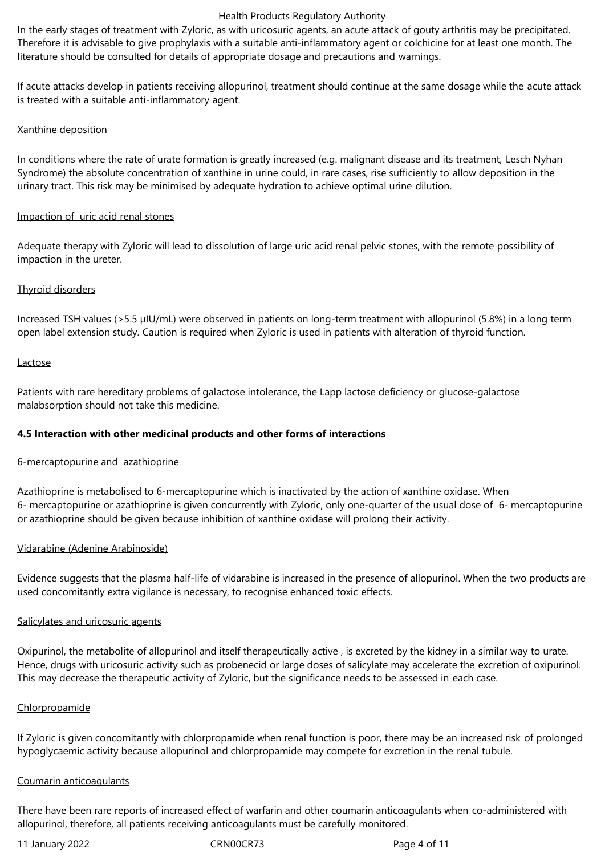In the early stages of treatment with Zyloric, as with uricosuric agents, an acute attack of gouty arthritis may be precipitated. Therefore it is advisable to give prophylaxis with a suitable anti-inflammatory agent or colchicine for at least one month. The literature should be consulted for details of appropriate dosage and precautions and warnings.

If acute attacks develop in patients receiving allopurinol, treatment should continue at the same dosage while the acute attack is treated with a suitable anti-inflammatory agent.

## Xanthine deposition

In conditions where the rate of urate formation is greatly increased (e.g. malignant disease and its treatment, Lesch Nyhan Syndrome) the absolute concentration of xanthine in urine could, in rare cases, rise sufficiently to allow deposition in the urinary tract. This risk may be minimised by adequate hydration to achieve optimal urine dilution.

#### Impaction of uric acid renal stones

Adequate therapy with Zyloric will lead to dissolution of large uric acid renal pelvic stones, with the remote possibility of impaction in the ureter.

## Thyroid disorders

Increased TSH values (>5.5 µIU/mL) were observed in patients on long-term treatment with allopurinol (5.8%) in a long term open label extension study. Caution is required when Zyloric is used in patients with alteration of thyroid function.

## Lactose

Patients with rare hereditary problems of galactose intolerance, the Lapp lactose deficiency or glucose-galactose malabsorption should not take this medicine.

## **4.5 Interaction with other medicinal products and other forms of interactions**

## 6‑mercaptopurine and azathioprine

Azathioprine is metabolised to 6‑mercaptopurine which is inactivated by the action of xanthine oxidase. When 6‑ mercaptopurine or azathioprine is given concurrently with Zyloric, only one‑quarter of the usual dose of 6‑ mercaptopurine or azathioprine should be given because inhibition of xanthine oxidase will prolong their activity.

## Vidarabine (Adenine Arabinoside)

Evidence suggests that the plasma half-life of vidarabine is increased in the presence of allopurinol. When the two products are used concomitantly extra vigilance is necessary, to recognise enhanced toxic effects.

## Salicylates and uricosuric agents

Oxipurinol, the metabolite of allopurinol and itself therapeutically active , is excreted by the kidney in a similar way to urate. Hence, drugs with uricosuric activity such as probenecid or large doses of salicylate may accelerate the excretion of oxipurinol. This may decrease the therapeutic activity of Zyloric, but the significance needs to be assessed in each case.

## Chlorpropamide

If Zyloric is given concomitantly with chlorpropamide when renal function is poor, there may be an increased risk of prolonged hypoglycaemic activity because allopurinol and chlorpropamide may compete for excretion in the renal tubule.

## Coumarin anticoagulants

There have been rare reports of increased effect of warfarin and other coumarin anticoagulants when co-administered with allopurinol, therefore, all patients receiving anticoagulants must be carefully monitored.

11 January 2022 CRN00CR73 Page 4 of 11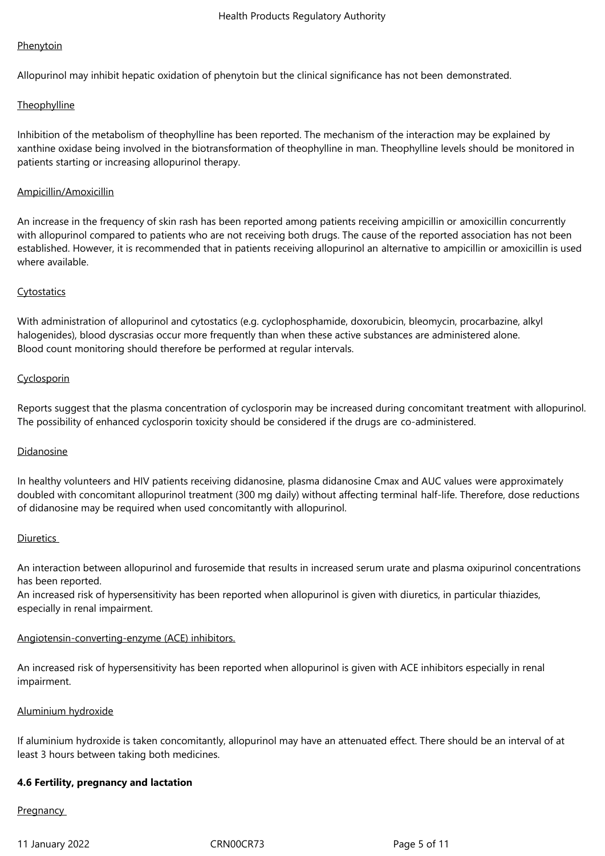## **Phenytoin**

Allopurinol may inhibit hepatic oxidation of phenytoin but the clinical significance has not been demonstrated.

## **Theophylline**

Inhibition of the metabolism of theophylline has been reported. The mechanism of the interaction may be explained by xanthine oxidase being involved in the biotransformation of theophylline in man. Theophylline levels should be monitored in patients starting or increasing allopurinol therapy.

## Ampicillin/Amoxicillin

An increase in the frequency of skin rash has been reported among patients receiving ampicillin or amoxicillin concurrently with allopurinol compared to patients who are not receiving both drugs. The cause of the reported association has not been established. However, it is recommended that in patients receiving allopurinol an alternative to ampicillin or amoxicillin is used where available.

## **Cytostatics**

With administration of allopurinol and cytostatics (e.g. cyclophosphamide, doxorubicin, bleomycin, procarbazine, alkyl halogenides), blood dyscrasias occur more frequently than when these active substances are administered alone. Blood count monitoring should therefore be performed at regular intervals.

## **Cyclosporin**

Reports suggest that the plasma concentration of cyclosporin may be increased during concomitant treatment with allopurinol. The possibility of enhanced cyclosporin toxicity should be considered if the drugs are co-administered.

## Didanosine

In healthy volunteers and HIV patients receiving didanosine, plasma didanosine Cmax and AUC values were approximately doubled with concomitant allopurinol treatment (300 mg daily) without affecting terminal half-life. Therefore, dose reductions of didanosine may be required when used concomitantly with allopurinol.

#### **Diuretics**

An interaction between allopurinol and furosemide that results in increased serum urate and plasma oxipurinol concentrations has been reported.

An increased risk of hypersensitivity has been reported when allopurinol is given with diuretics, in particular thiazides, especially in renal impairment.

## Angiotensin-converting-enzyme (ACE) inhibitors.

An increased risk of hypersensitivity has been reported when allopurinol is given with ACE inhibitors especially in renal impairment.

#### Aluminium hydroxide

If aluminium hydroxide is taken concomitantly, allopurinol may have an attenuated effect. There should be an interval of at least 3 hours between taking both medicines.

## **4.6 Fertility, pregnancy and lactation**

## **Pregnancy**

11 January 2022 CRN00CR73 Page 5 of 11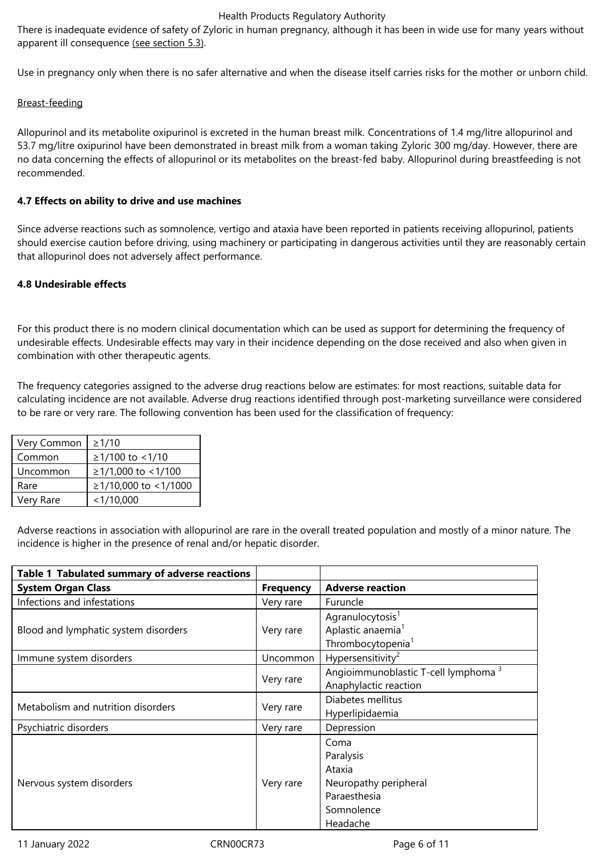There is inadequate evidence of safety of Zyloric in human pregnancy, although it has been in wide use for many years without apparent ill consequence (see section 5.3).

Use in pregnancy only when there is no safer alternative and when the disease itself carries risks for the mother or unborn child.

# Breast‑feeding

Allopurinol and its metabolite oxipurinol is excreted in the human breast milk. Concentrations of 1.4 mg/litre allopurinol and 53.7 mg/litre oxipurinol have been demonstrated in breast milk from a woman taking Zyloric 300 mg/day. However, there are no data concerning the effects of allopurinol or its metabolites on the breast-fed baby. Allopurinol during breastfeeding is not recommended.

## **4.7 Effects on ability to drive and use machines**

Since adverse reactions such as somnolence, vertigo and ataxia have been reported in patients receiving allopurinol, patients should exercise caution before driving, using machinery or participating in dangerous activities until they are reasonably certain that allopurinol does not adversely affect performance.

## **4.8 Undesirable effects**

For this product there is no modern clinical documentation which can be used as support for determining the frequency of undesirable effects. Undesirable effects may vary in their incidence depending on the dose received and also when given in combination with other therapeutic agents.

The frequency categories assigned to the adverse drug reactions below are estimates: for most reactions, suitable data for calculating incidence are not available. Adverse drug reactions identified through post-marketing surveillance were considered to be rare or very rare. The following convention has been used for the classification of frequency:

| Very Common | $\geq$ 1/10          |
|-------------|----------------------|
| Common      | ≥1/100 to <1/10      |
| Uncommon    | ≥1/1,000 to <1/100   |
| Rare        | ≥1/10,000 to <1/1000 |
| Very Rare   | < 1/10,000           |

Adverse reactions in association with allopurinol are rare in the overall treated population and mostly of a minor nature. The incidence is higher in the presence of renal and/or hepatic disorder.

| Table 1 Tabulated summary of adverse reactions |                  |                                                                                                |
|------------------------------------------------|------------------|------------------------------------------------------------------------------------------------|
| <b>System Organ Class</b>                      | <b>Frequency</b> | <b>Adverse reaction</b>                                                                        |
| Infections and infestations                    | Very rare        | Furuncle                                                                                       |
| Blood and lymphatic system disorders           | Very rare        | Agranulocytosis <sup>1</sup><br>Aplastic anaemia <sup>1</sup><br>Thrombocytopenia <sup>1</sup> |
| Immune system disorders                        | Uncommon         | Hypersensitivity <sup>2</sup>                                                                  |
|                                                | Very rare        | Angioimmunoblastic T-cell lymphoma <sup>3</sup><br>Anaphylactic reaction                       |
| Metabolism and nutrition disorders             | Very rare        | Diabetes mellitus<br>Hyperlipidaemia                                                           |
| Psychiatric disorders                          | Very rare        | Depression                                                                                     |
| Nervous system disorders                       | Very rare        | Coma<br>Paralysis<br>Ataxia<br>Neuropathy peripheral<br>Paraesthesia<br>Somnolence<br>Headache |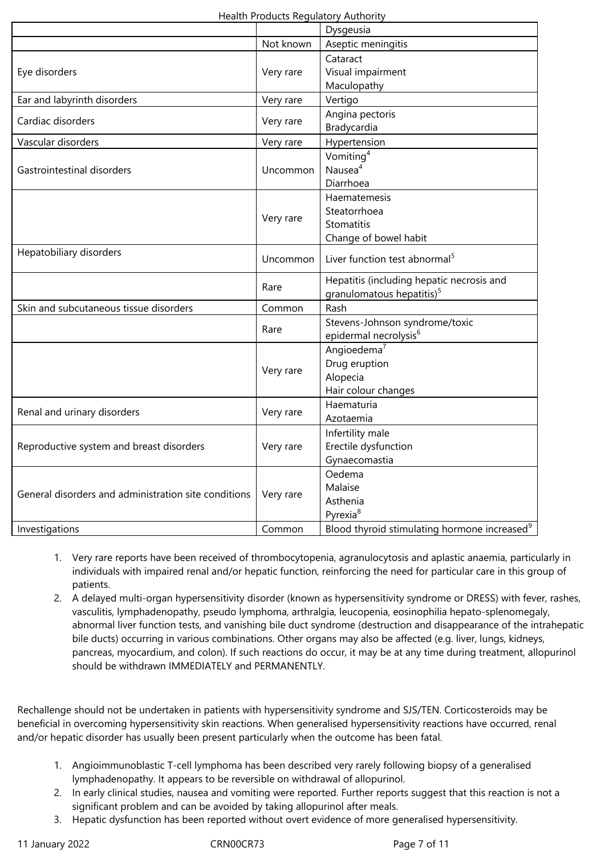|                                                      |           | Dysgeusia                                                |
|------------------------------------------------------|-----------|----------------------------------------------------------|
|                                                      | Not known | Aseptic meningitis                                       |
|                                                      |           | Cataract                                                 |
| Eye disorders                                        | Very rare | Visual impairment                                        |
|                                                      |           | Maculopathy                                              |
| Ear and labyrinth disorders                          | Very rare | Vertigo                                                  |
| Cardiac disorders                                    | Very rare | Angina pectoris                                          |
|                                                      |           | Bradycardia                                              |
| Vascular disorders                                   | Very rare | Hypertension                                             |
| Gastrointestinal disorders                           | Uncommon  | Vomiting <sup>4</sup>                                    |
|                                                      |           | Nausea <sup>4</sup>                                      |
|                                                      |           | Diarrhoea                                                |
|                                                      |           | Haematemesis                                             |
|                                                      | Very rare | Steatorrhoea                                             |
|                                                      |           | Stomatitis                                               |
|                                                      |           | Change of bowel habit                                    |
| Hepatobiliary disorders                              | Uncommon  | Liver function test abnormal <sup>5</sup>                |
|                                                      |           | Hepatitis (including hepatic necrosis and                |
|                                                      | Rare      | granulomatous hepatitis) <sup>5</sup>                    |
| Skin and subcutaneous tissue disorders               | Common    | Rash                                                     |
|                                                      | Rare      | Stevens-Johnson syndrome/toxic                           |
|                                                      |           | epidermal necrolysis <sup>6</sup>                        |
|                                                      |           | Angioedema <sup>7</sup>                                  |
|                                                      | Very rare | Drug eruption                                            |
|                                                      |           | Alopecia                                                 |
|                                                      |           | Hair colour changes                                      |
| Renal and urinary disorders                          | Very rare | Haematuria                                               |
|                                                      |           | Azotaemia                                                |
| Reproductive system and breast disorders             | Very rare | Infertility male                                         |
|                                                      |           | Erectile dysfunction                                     |
|                                                      |           | Gynaecomastia                                            |
| General disorders and administration site conditions | Very rare | Oedema                                                   |
|                                                      |           | Malaise                                                  |
|                                                      |           | Asthenia                                                 |
|                                                      |           | Pyrexia <sup>8</sup>                                     |
| Investigations                                       | Common    | Blood thyroid stimulating hormone increased <sup>9</sup> |

- 1. Very rare reports have been received of thrombocytopenia, agranulocytosis and aplastic anaemia, particularly in individuals with impaired renal and/or hepatic function, reinforcing the need for particular care in this group of patients.
- 2. A delayed multi-organ hypersensitivity disorder (known as hypersensitivity syndrome or DRESS) with fever, rashes, vasculitis, lymphadenopathy, pseudo lymphoma, arthralgia, leucopenia, eosinophilia hepato-splenomegaly, abnormal liver function tests, and vanishing bile duct syndrome (destruction and disappearance of the intrahepatic bile ducts) occurring in various combinations. Other organs may also be affected (e.g. liver, lungs, kidneys, pancreas, myocardium, and colon). If such reactions do occur, it may be at any time during treatment, allopurinol should be withdrawn IMMEDIATELY and PERMANENTLY.

Rechallenge should not be undertaken in patients with hypersensitivity syndrome and SJS/TEN. Corticosteroids may be beneficial in overcoming hypersensitivity skin reactions. When generalised hypersensitivity reactions have occurred, renal and/or hepatic disorder has usually been present particularly when the outcome has been fatal.

- 1. Angioimmunoblastic T‑cell lymphoma has been described very rarely following biopsy of a generalised lymphadenopathy. It appears to be reversible on withdrawal of allopurinol.
- 2. In early clinical studies, nausea and vomiting were reported. Further reports suggest that this reaction is not a significant problem and can be avoided by taking allopurinol after meals.
- 3. Hepatic dysfunction has been reported without overt evidence of more generalised hypersensitivity.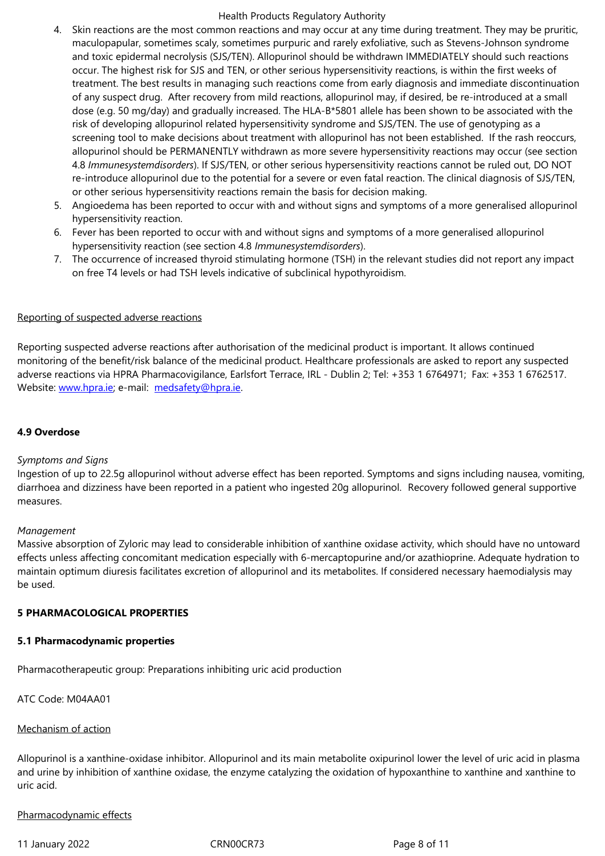and toxic epidermal necrolysis (SJS/TEN). Allopurinol should be withdrawn IMMEDIATELY should such reactions occur. The highest risk for SJS and TEN, or other serious hypersensitivity reactions, is within the first weeks of treatment. The best results in managing such reactions come from early diagnosis and immediate discontinuation of any suspect drug. After recovery from mild reactions, allopurinol may, if desired, be re‑introduced at a small dose (e.g. 50 mg/day) and gradually increased. The HLA-B\*5801 allele has been shown to be associated with the risk of developing allopurinol related hypersensitivity syndrome and SJS/TEN. The use of genotyping as a screening tool to make decisions about treatment with allopurinol has not been established. If the rash reoccurs, allopurinol should be PERMANENTLY withdrawn as more severe hypersensitivity reactions may occur (see section 4.8 *Immunesystemdisorders*). If SJS/TEN, or other serious hypersensitivity reactions cannot be ruled out, DO NOT re-introduce allopurinol due to the potential for a severe or even fatal reaction. The clinical diagnosis of SJS/TEN, or other serious hypersensitivity reactions remain the basis for decision making.

- 5. Angioedema has been reported to occur with and without signs and symptoms of a more generalised allopurinol hypersensitivity reaction.
- 6. Fever has been reported to occur with and without signs and symptoms of a more generalised allopurinol hypersensitivity reaction (see section 4.8 *Immunesystemdisorders*).
- 7. The occurrence of increased thyroid stimulating hormone (TSH) in the relevant studies did not report any impact on free T4 levels or had TSH levels indicative of subclinical hypothyroidism.

## Reporting of suspected adverse reactions

Reporting suspected adverse reactions after authorisation of the medicinal product is important. It allows continued monitoring of the benefit/risk balance of the medicinal product. Healthcare professionals are asked to report any suspected adverse reactions via HPRA Pharmacovigilance, Earlsfort Terrace, IRL - Dublin 2; Tel: +353 1 6764971; Fax: +353 1 6762517. Website: www.hpra.ie; e-mail: medsafety@hpra.ie.

## **4.9 Over[dose](http://www.hpra.ie/)**

## *Symptoms and Signs*

Ingestion of up to 22.5g allopurinol without adverse effect has been reported. Symptoms and signs including nausea, vomiting, diarrhoea and dizziness have been reported in a patient who ingested 20g allopurinol. Recovery followed general supportive measures.

## *Management*

Massive absorption of Zyloric may lead to considerable inhibition of xanthine oxidase activity, which should have no untoward effects unless affecting concomitant medication especially with 6-mercaptopurine and/or azathioprine. Adequate hydration to maintain optimum diuresis facilitates excretion of allopurinol and its metabolites. If considered necessary haemodialysis may be used.

## **5 PHARMACOLOGICAL PROPERTIES**

## **5.1 Pharmacodynamic properties**

Pharmacotherapeutic group: Preparations inhibiting uric acid production

ATC Code: M04AA01

## Mechanism of action

Allopurinol is a xanthine-oxidase inhibitor. Allopurinol and its main metabolite oxipurinol lower the level of uric acid in plasma and urine by inhibition of xanthine oxidase, the enzyme catalyzing the oxidation of hypoxanthine to xanthine and xanthine to uric acid.

## Pharmacodynamic effects

11 January 2022 CRN00CR73 Page 8 of 11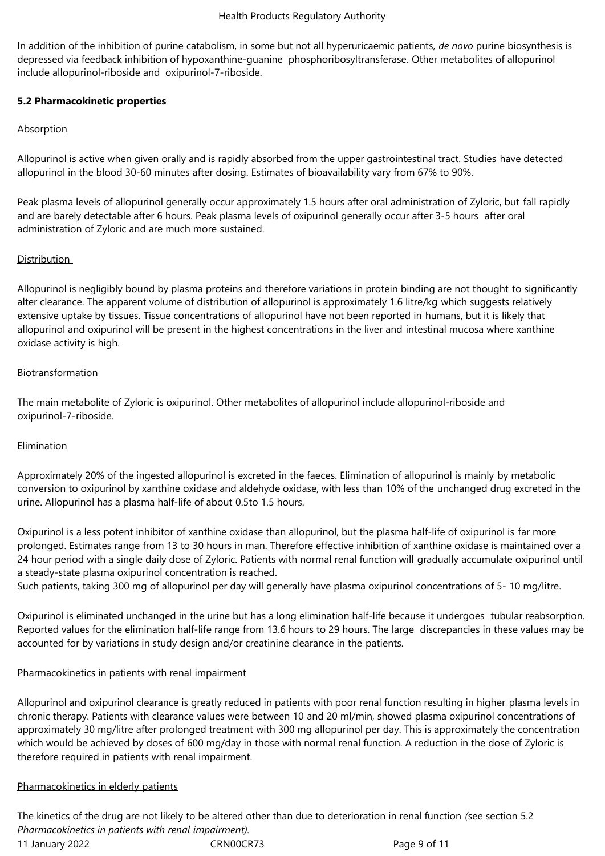In addition of the inhibition of purine catabolism, in some but not all hyperuricaemic patients, *de novo* purine biosynthesis is depressed via feedback inhibition of hypoxanthine‑guanine phosphoribosyltransferase. Other metabolites of allopurinol include allopurinol-riboside and oxipurinol-7-riboside.

# **5.2 Pharmacokinetic properties**

## Absorption

Allopurinol is active when given orally and is rapidly absorbed from the upper gastrointestinal tract. Studies have detected allopurinol in the blood 30‑60 minutes after dosing. Estimates of bioavailability vary from 67% to 90%.

Peak plasma levels of allopurinol generally occur approximately 1.5 hours after oral administration of Zyloric, but fall rapidly and are barely detectable after 6 hours. Peak plasma levels of oxipurinol generally occur after 3‑5 hours after oral administration of Zyloric and are much more sustained.

## **Distribution**

Allopurinol is negligibly bound by plasma proteins and therefore variations in protein binding are not thought to significantly alter clearance. The apparent volume of distribution of allopurinol is approximately 1.6 litre/kg which suggests relatively extensive uptake by tissues. Tissue concentrations of allopurinol have not been reported in humans, but it is likely that allopurinol and oxipurinol will be present in the highest concentrations in the liver and intestinal mucosa where xanthine oxidase activity is high.

## Biotransformation

The main metabolite of Zyloric is oxipurinol. Other metabolites of allopurinol include allopurinol-riboside and oxipurinol-7-riboside.

## Elimination

Approximately 20% of the ingested allopurinol is excreted in the faeces. Elimination of allopurinol is mainly by metabolic conversion to oxipurinol by xanthine oxidase and aldehyde oxidase, with less than 10% of the unchanged drug excreted in the urine. Allopurinol has a plasma half-life of about 0.5to 1.5 hours.

Oxipurinol is a less potent inhibitor of xanthine oxidase than allopurinol, but the plasma half-life of oxipurinol is far more prolonged. Estimates range from 13 to 30 hours in man. Therefore effective inhibition of xanthine oxidase is maintained over a 24 hour period with a single daily dose of Zyloric. Patients with normal renal function will gradually accumulate oxipurinol until a steady-state plasma oxipurinol concentration is reached.

Such patients, taking 300 mg of allopurinol per day will generally have plasma oxipurinol concentrations of 5-10 mg/litre.

Oxipurinol is eliminated unchanged in the urine but has a long elimination half‑life because it undergoes tubular reabsorption. Reported values for the elimination half-life range from 13.6 hours to 29 hours. The large discrepancies in these values may be accounted for by variations in study design and/or creatinine clearance in the patients.

# Pharmacokinetics in patients with renal impairment

Allopurinol and oxipurinol clearance is greatly reduced in patients with poor renal function resulting in higher plasma levels in chronic therapy. Patients with clearance values were between 10 and 20 ml/min, showed plasma oxipurinol concentrations of approximately 30 mg/litre after prolonged treatment with 300 mg allopurinol per day. This is approximately the concentration which would be achieved by doses of 600 mg/day in those with normal renal function. A reduction in the dose of Zyloric is therefore required in patients with renal impairment.

## Pharmacokinetics in elderly patients

11 January 2022 CRN00CR73 Page 9 of 11 The kinetics of the drug are not likely to be altered other than due to deterioration in renal function *(*see section 5.2 *Pharmacokinetics in patients with renal impairment).*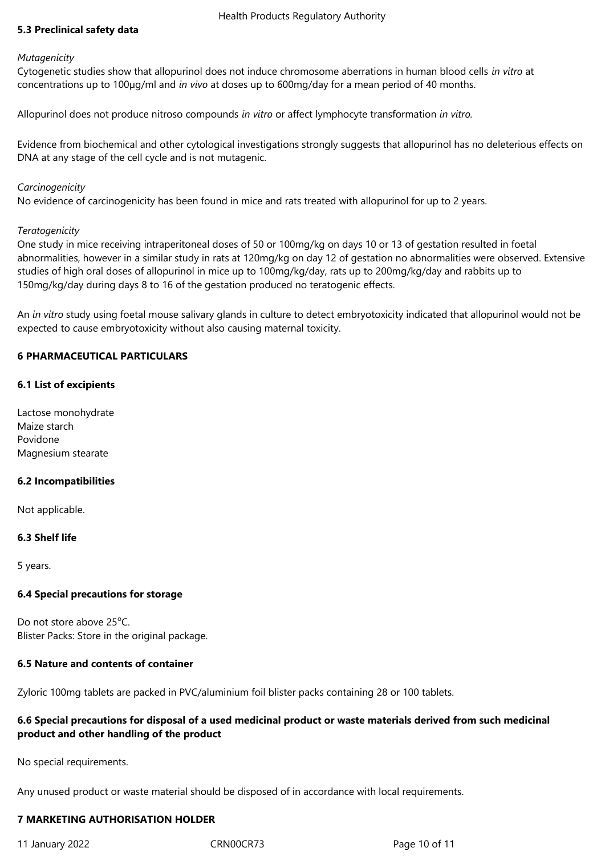# **5.3 Preclinical safety data**

#### *Mutagenicity*

Cytogenetic studies show that allopurinol does not induce chromosome aberrations in human blood cells *in vitro* at concentrations up to 100µg/ml and *in vivo* at doses up to 600mg/day for a mean period of 40 months.

Allopurinol does not produce nitroso compounds *in vitro* or affect lymphocyte transformation *in vitro.*

Evidence from biochemical and other cytological investigations strongly suggests that allopurinol has no deleterious effects on DNA at any stage of the cell cycle and is not mutagenic.

## *Carcinogenicity*

No evidence of carcinogenicity has been found in mice and rats treated with allopurinol for up to 2 years.

## *Teratogenicity*

One study in mice receiving intraperitoneal doses of 50 or 100mg/kg on days 10 or 13 of gestation resulted in foetal abnormalities, however in a similar study in rats at 120mg/kg on day 12 of gestation no abnormalities were observed. Extensive studies of high oral doses of allopurinol in mice up to 100mg/kg/day, rats up to 200mg/kg/day and rabbits up to 150mg/kg/day during days 8 to 16 of the gestation produced no teratogenic effects.

An *in vitro* study using foetal mouse salivary glands in culture to detect embryotoxicity indicated that allopurinol would not be expected to cause embryotoxicity without also causing maternal toxicity.

## **6 PHARMACEUTICAL PARTICULARS**

## **6.1 List of excipients**

Lactose monohydrate Maize starch Povidone Magnesium stearate

## **6.2 Incompatibilities**

Not applicable.

## **6.3 Shelf life**

5 years.

## **6.4 Special precautions for storage**

Do not store above  $25^{\circ}$ C. Blister Packs: Store in the original package.

## **6.5 Nature and contents of container**

Zyloric 100mg tablets are packed in PVC/aluminium foil blister packs containing 28 or 100 tablets.

## **6.6 Special precautions for disposal of a used medicinal product or waste materials derived from such medicinal product and other handling of the product**

No special requirements.

Any unused product or waste material should be disposed of in accordance with local requirements.

# **7 MARKETING AUTHORISATION HOLDER**

11 January 2022 CRN00CR73 Page 10 of 11